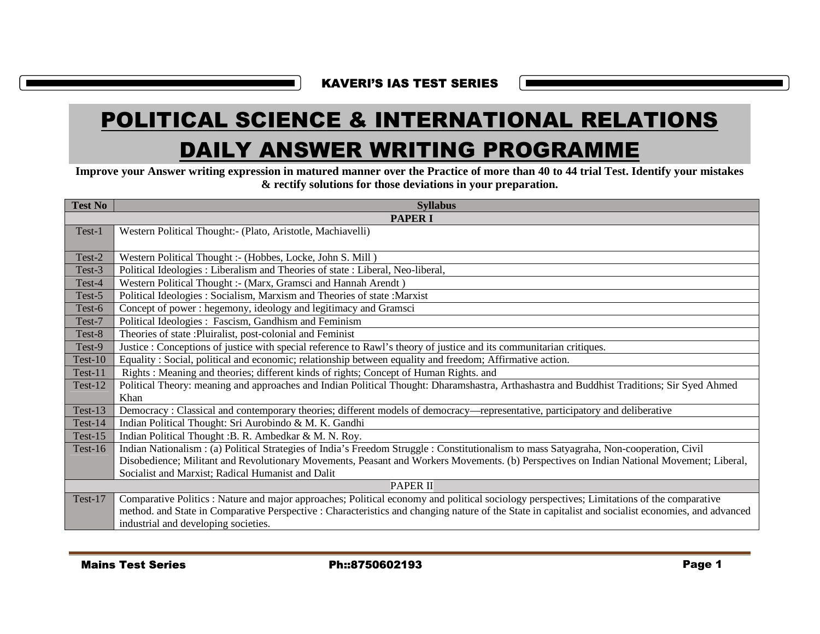KAVERI'S IAS TEST SERIES

| <b>DAILY ANSWER WRITING PROGRAMME</b><br>Improve your Answer writing expression in matured manner over the Practice of more than 40 to 44 trial Test. Identify your mistakes<br>& rectify solutions for those deviations in your preparation. |                                                                                                                                                                                                                                                                                                                                           |  |
|-----------------------------------------------------------------------------------------------------------------------------------------------------------------------------------------------------------------------------------------------|-------------------------------------------------------------------------------------------------------------------------------------------------------------------------------------------------------------------------------------------------------------------------------------------------------------------------------------------|--|
| <b>Test No</b>                                                                                                                                                                                                                                | <b>Syllabus</b>                                                                                                                                                                                                                                                                                                                           |  |
|                                                                                                                                                                                                                                               | <b>PAPER I</b>                                                                                                                                                                                                                                                                                                                            |  |
| Test-1                                                                                                                                                                                                                                        | Western Political Thought:- (Plato, Aristotle, Machiavelli)                                                                                                                                                                                                                                                                               |  |
| Test-2                                                                                                                                                                                                                                        | Western Political Thought :- (Hobbes, Locke, John S. Mill)                                                                                                                                                                                                                                                                                |  |
| Test-3                                                                                                                                                                                                                                        | Political Ideologies : Liberalism and Theories of state : Liberal, Neo-liberal,                                                                                                                                                                                                                                                           |  |
| Test-4                                                                                                                                                                                                                                        | Western Political Thought :- (Marx, Gramsci and Hannah Arendt)                                                                                                                                                                                                                                                                            |  |
| Test-5                                                                                                                                                                                                                                        | Political Ideologies : Socialism, Marxism and Theories of state : Marxist                                                                                                                                                                                                                                                                 |  |
| Test-6                                                                                                                                                                                                                                        | Concept of power: hegemony, ideology and legitimacy and Gramsci                                                                                                                                                                                                                                                                           |  |
| Test-7                                                                                                                                                                                                                                        | Political Ideologies : Fascism, Gandhism and Feminism                                                                                                                                                                                                                                                                                     |  |
| Test-8                                                                                                                                                                                                                                        | Theories of state : Pluiralist, post-colonial and Feminist                                                                                                                                                                                                                                                                                |  |
| Test-9                                                                                                                                                                                                                                        | Justice : Conceptions of justice with special reference to Rawl's theory of justice and its communitarian critiques.                                                                                                                                                                                                                      |  |
| Test-10                                                                                                                                                                                                                                       | Equality: Social, political and economic; relationship between equality and freedom; Affirmative action.                                                                                                                                                                                                                                  |  |
| Test-11                                                                                                                                                                                                                                       | Rights: Meaning and theories; different kinds of rights; Concept of Human Rights. and                                                                                                                                                                                                                                                     |  |
| Test-12                                                                                                                                                                                                                                       | Political Theory: meaning and approaches and Indian Political Thought: Dharamshastra, Arthashastra and Buddhist Traditions; Sir Syed Ahmed<br>Khan                                                                                                                                                                                        |  |
| Test-13                                                                                                                                                                                                                                       | Democracy : Classical and contemporary theories; different models of democracy—representative, participatory and deliberative                                                                                                                                                                                                             |  |
| Test-14                                                                                                                                                                                                                                       | Indian Political Thought: Sri Aurobindo & M. K. Gandhi                                                                                                                                                                                                                                                                                    |  |
| Test- $15$                                                                                                                                                                                                                                    | Indian Political Thought: B. R. Ambedkar & M. N. Roy.                                                                                                                                                                                                                                                                                     |  |
| Test-16                                                                                                                                                                                                                                       | Indian Nationalism: (a) Political Strategies of India's Freedom Struggle: Constitutionalism to mass Satyagraha, Non-cooperation, Civil                                                                                                                                                                                                    |  |
|                                                                                                                                                                                                                                               | Disobedience; Militant and Revolutionary Movements, Peasant and Workers Movements. (b) Perspectives on Indian National Movement; Liberal,                                                                                                                                                                                                 |  |
|                                                                                                                                                                                                                                               | Socialist and Marxist; Radical Humanist and Dalit                                                                                                                                                                                                                                                                                         |  |
|                                                                                                                                                                                                                                               | <b>PAPER II</b>                                                                                                                                                                                                                                                                                                                           |  |
| Test-17                                                                                                                                                                                                                                       | Comparative Politics : Nature and major approaches; Political economy and political sociology perspectives; Limitations of the comparative<br>method. and State in Comparative Perspective : Characteristics and changing nature of the State in capitalist and socialist economies, and advanced<br>industrial and developing societies. |  |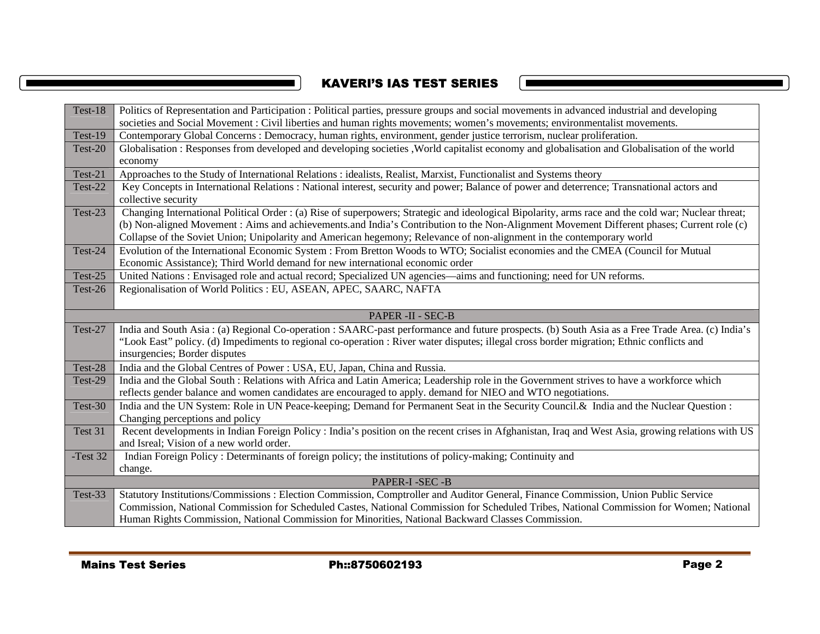# KAVERI'S IAS TEST SERIES

 $\mathcal{L}_{\mathcal{A}}$ 

 $\blacksquare$ 

| Test-18           | Politics of Representation and Participation : Political parties, pressure groups and social movements in advanced industrial and developing       |  |
|-------------------|----------------------------------------------------------------------------------------------------------------------------------------------------|--|
|                   | societies and Social Movement : Civil liberties and human rights movements; women's movements; environmentalist movements.                         |  |
| Test-19           | Contemporary Global Concerns : Democracy, human rights, environment, gender justice terrorism, nuclear proliferation.                              |  |
| Test-20           | Globalisation: Responses from developed and developing societies , World capitalist economy and globalisation and Globalisation of the world       |  |
|                   | economy                                                                                                                                            |  |
| Test-21           | Approaches to the Study of International Relations : idealists, Realist, Marxist, Functionalist and Systems theory                                 |  |
| Test-22           | Key Concepts in International Relations : National interest, security and power; Balance of power and deterrence; Transnational actors and         |  |
|                   | collective security                                                                                                                                |  |
| Test-23           | Changing International Political Order: (a) Rise of superpowers; Strategic and ideological Bipolarity, arms race and the cold war; Nuclear threat; |  |
|                   | (b) Non-aligned Movement : Aims and achievements and India's Contribution to the Non-Alignment Movement Different phases; Current role (c)         |  |
|                   | Collapse of the Soviet Union; Unipolarity and American hegemony; Relevance of non-alignment in the contemporary world                              |  |
| Test-24           | Evolution of the International Economic System : From Bretton Woods to WTO; Socialist economies and the CMEA (Council for Mutual                   |  |
|                   | Economic Assistance); Third World demand for new international economic order                                                                      |  |
| Test-25           | United Nations : Envisaged role and actual record; Specialized UN agencies—aims and functioning; need for UN reforms.                              |  |
| Test-26           | Regionalisation of World Politics : EU, ASEAN, APEC, SAARC, NAFTA                                                                                  |  |
|                   |                                                                                                                                                    |  |
| PAPER -II - SEC-B |                                                                                                                                                    |  |
| Test-27           | India and South Asia: (a) Regional Co-operation: SAARC-past performance and future prospects. (b) South Asia as a Free Trade Area. (c) India's     |  |
|                   | "Look East" policy. (d) Impediments to regional co-operation : River water disputes; illegal cross border migration; Ethnic conflicts and          |  |
|                   | insurgencies; Border disputes                                                                                                                      |  |
| Test-28           | India and the Global Centres of Power : USA, EU, Japan, China and Russia.                                                                          |  |
| Test-29           | India and the Global South : Relations with Africa and Latin America; Leadership role in the Government strives to have a workforce which          |  |
|                   | reflects gender balance and women candidates are encouraged to apply. demand for NIEO and WTO negotiations.                                        |  |
| Test-30           | India and the UN System: Role in UN Peace-keeping; Demand for Permanent Seat in the Security Council. & India and the Nuclear Question:            |  |
|                   | Changing perceptions and policy                                                                                                                    |  |
| Test 31           | Recent developments in Indian Foreign Policy : India's position on the recent crises in Afghanistan, Iraq and West Asia, growing relations with US |  |
|                   | and Isreal; Vision of a new world order.                                                                                                           |  |
| -Test 32          | Indian Foreign Policy : Determinants of foreign policy; the institutions of policy-making; Continuity and                                          |  |
|                   | change.                                                                                                                                            |  |
|                   | PAPER-I-SEC-B                                                                                                                                      |  |
| Test-33           | Statutory Institutions/Commissions: Election Commission, Comptroller and Auditor General, Finance Commission, Union Public Service                 |  |
|                   | Commission, National Commission for Scheduled Castes, National Commission for Scheduled Tribes, National Commission for Women; National            |  |
|                   | Human Rights Commission, National Commission for Minorities, National Backward Classes Commission.                                                 |  |
|                   |                                                                                                                                                    |  |
|                   |                                                                                                                                                    |  |
|                   | Ph::8750602193<br>Page 2<br><b>Mains Test Series</b>                                                                                               |  |
|                   |                                                                                                                                                    |  |